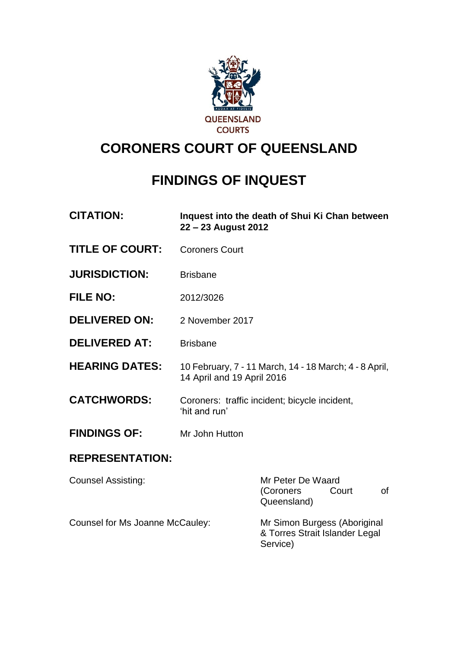

# **CORONERS COURT OF QUEENSLAND**

# **FINDINGS OF INQUEST**

| <b>CITATION:</b>                | 22 - 23 August 2012                                                                  | Inquest into the death of Shui Ki Chan between                             |
|---------------------------------|--------------------------------------------------------------------------------------|----------------------------------------------------------------------------|
| <b>TITLE OF COURT:</b>          | <b>Coroners Court</b>                                                                |                                                                            |
| <b>JURISDICTION:</b>            | <b>Brisbane</b>                                                                      |                                                                            |
| <b>FILE NO:</b>                 | 2012/3026                                                                            |                                                                            |
| <b>DELIVERED ON:</b>            | 2 November 2017                                                                      |                                                                            |
| <b>DELIVERED AT:</b>            | <b>Brisbane</b>                                                                      |                                                                            |
| <b>HEARING DATES:</b>           | 10 February, 7 - 11 March, 14 - 18 March; 4 - 8 April,<br>14 April and 19 April 2016 |                                                                            |
| <b>CATCHWORDS:</b>              | Coroners: traffic incident; bicycle incident,<br>'hit and run'                       |                                                                            |
| <b>FINDINGS OF:</b>             | Mr John Hutton                                                                       |                                                                            |
| <b>REPRESENTATION:</b>          |                                                                                      |                                                                            |
| <b>Counsel Assisting:</b>       |                                                                                      | Mr Peter De Waard<br>(Coroners<br><b>of</b><br>Court<br>Queensland)        |
| Counsel for Ms Joanne McCauley: |                                                                                      | Mr Simon Burgess (Aboriginal<br>& Torres Strait Islander Legal<br>Service) |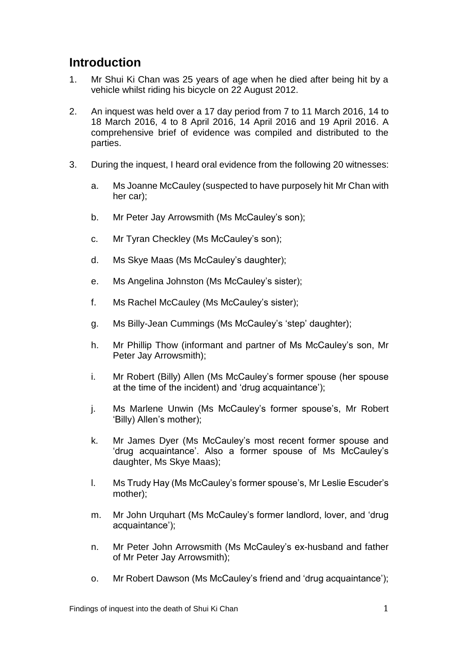# **Introduction**

- 1. Mr Shui Ki Chan was 25 years of age when he died after being hit by a vehicle whilst riding his bicycle on 22 August 2012.
- 2. An inquest was held over a 17 day period from 7 to 11 March 2016, 14 to 18 March 2016, 4 to 8 April 2016, 14 April 2016 and 19 April 2016. A comprehensive brief of evidence was compiled and distributed to the parties.
- 3. During the inquest, I heard oral evidence from the following 20 witnesses:
	- a. Ms Joanne McCauley (suspected to have purposely hit Mr Chan with her car);
	- b. Mr Peter Jay Arrowsmith (Ms McCauley's son);
	- c. Mr Tyran Checkley (Ms McCauley's son);
	- d. Ms Skye Maas (Ms McCauley's daughter);
	- e. Ms Angelina Johnston (Ms McCauley's sister);
	- f. Ms Rachel McCauley (Ms McCauley's sister);
	- g. Ms Billy-Jean Cummings (Ms McCauley's 'step' daughter);
	- h. Mr Phillip Thow (informant and partner of Ms McCauley's son, Mr Peter Jay Arrowsmith);
	- i. Mr Robert (Billy) Allen (Ms McCauley's former spouse (her spouse at the time of the incident) and 'drug acquaintance');
	- j. Ms Marlene Unwin (Ms McCauley's former spouse's, Mr Robert 'Billy) Allen's mother);
	- k. Mr James Dyer (Ms McCauley's most recent former spouse and 'drug acquaintance'. Also a former spouse of Ms McCauley's daughter, Ms Skye Maas);
	- l. Ms Trudy Hay (Ms McCauley's former spouse's, Mr Leslie Escuder's mother);
	- m. Mr John Urquhart (Ms McCauley's former landlord, lover, and 'drug acquaintance');
	- n. Mr Peter John Arrowsmith (Ms McCauley's ex-husband and father of Mr Peter Jay Arrowsmith);
	- o. Mr Robert Dawson (Ms McCauley's friend and 'drug acquaintance');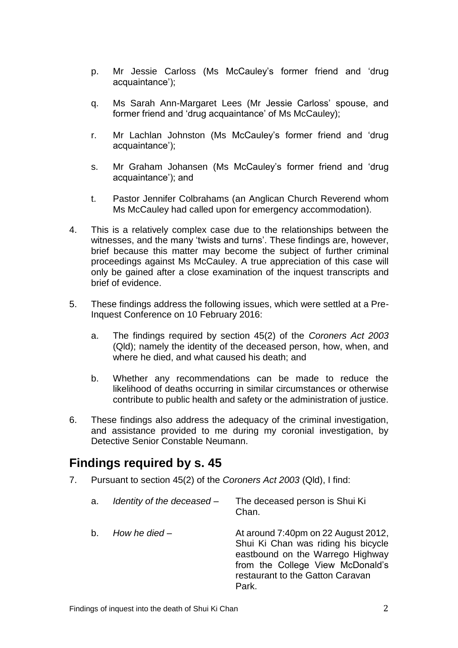- p. Mr Jessie Carloss (Ms McCauley's former friend and 'drug acquaintance');
- q. Ms Sarah Ann-Margaret Lees (Mr Jessie Carloss' spouse, and former friend and 'drug acquaintance' of Ms McCauley);
- r. Mr Lachlan Johnston (Ms McCauley's former friend and 'drug acquaintance');
- s. Mr Graham Johansen (Ms McCauley's former friend and 'drug acquaintance'); and
- t. Pastor Jennifer Colbrahams (an Anglican Church Reverend whom Ms McCauley had called upon for emergency accommodation).
- 4. This is a relatively complex case due to the relationships between the witnesses, and the many 'twists and turns'. These findings are, however, brief because this matter may become the subject of further criminal proceedings against Ms McCauley. A true appreciation of this case will only be gained after a close examination of the inquest transcripts and brief of evidence.
- 5. These findings address the following issues, which were settled at a Pre-Inquest Conference on 10 February 2016:
	- a. The findings required by section 45(2) of the *Coroners Act 2003* (Qld); namely the identity of the deceased person, how, when, and where he died, and what caused his death; and
	- b. Whether any recommendations can be made to reduce the likelihood of deaths occurring in similar circumstances or otherwise contribute to public health and safety or the administration of justice.
- 6. These findings also address the adequacy of the criminal investigation, and assistance provided to me during my coronial investigation, by Detective Senior Constable Neumann.

### **Findings required by s. 45**

- 7. Pursuant to section 45(2) of the *Coroners Act 2003* (Qld), I find:
	- a. *Identity of the deceased* The deceased person is Shui Ki Chan.

b. *How he died* – **At around 7:40pm on 22 August 2012,** Shui Ki Chan was riding his bicycle eastbound on the Warrego Highway from the College View McDonald's restaurant to the Gatton Caravan Park.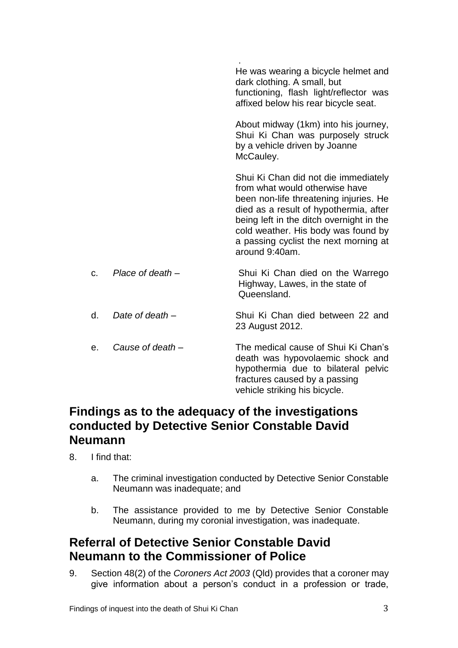|                |                    | He was wearing a bicycle helmet and<br>dark clothing. A small, but<br>functioning, flash light/reflector was<br>affixed below his rear bicycle seat.                                                                                                                                                     |
|----------------|--------------------|----------------------------------------------------------------------------------------------------------------------------------------------------------------------------------------------------------------------------------------------------------------------------------------------------------|
|                |                    | About midway (1km) into his journey,<br>Shui Ki Chan was purposely struck<br>by a vehicle driven by Joanne<br>McCauley.                                                                                                                                                                                  |
|                |                    | Shui Ki Chan did not die immediately<br>from what would otherwise have<br>been non-life threatening injuries. He<br>died as a result of hypothermia, after<br>being left in the ditch overnight in the<br>cold weather. His body was found by<br>a passing cyclist the next morning at<br>around 9:40am. |
| C <sub>1</sub> | Place of death $-$ | Shui Ki Chan died on the Warrego<br>Highway, Lawes, in the state of<br>Queensland.                                                                                                                                                                                                                       |
| d.             | Date of death $-$  | Shui Ki Chan died between 22 and<br>23 August 2012.                                                                                                                                                                                                                                                      |
| е.             | Cause of death -   | The medical cause of Shui Ki Chan's<br>death was hypovolaemic shock and<br>hypothermia due to bilateral pelvic<br>fractures caused by a passing<br>vehicle striking his bicycle.                                                                                                                         |

## **Findings as to the adequacy of the investigations conducted by Detective Senior Constable David Neumann**

8. I find that:

- a. The criminal investigation conducted by Detective Senior Constable Neumann was inadequate; and
- b. The assistance provided to me by Detective Senior Constable Neumann, during my coronial investigation, was inadequate.

# **Referral of Detective Senior Constable David Neumann to the Commissioner of Police**

9. Section 48(2) of the *Coroners Act 2003* (Qld) provides that a coroner may give information about a person's conduct in a profession or trade,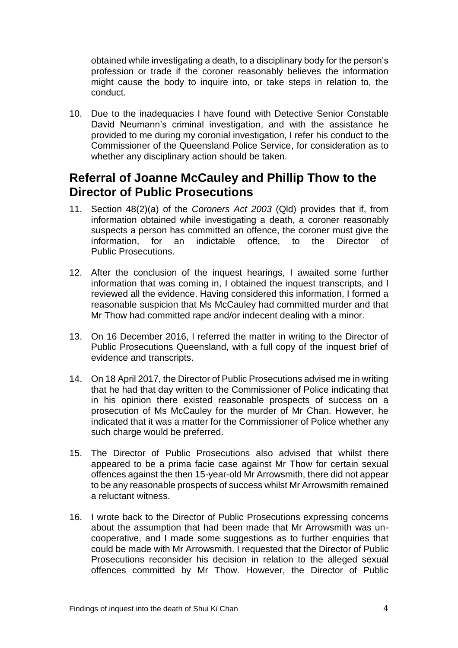obtained while investigating a death, to a disciplinary body for the person's profession or trade if the coroner reasonably believes the information might cause the body to inquire into, or take steps in relation to, the conduct.

10. Due to the inadequacies I have found with Detective Senior Constable David Neumann's criminal investigation, and with the assistance he provided to me during my coronial investigation, I refer his conduct to the Commissioner of the Queensland Police Service, for consideration as to whether any disciplinary action should be taken.

## **Referral of Joanne McCauley and Phillip Thow to the Director of Public Prosecutions**

- 11. Section 48(2)(a) of the *Coroners Act 2003* (Qld) provides that if, from information obtained while investigating a death, a coroner reasonably suspects a person has committed an offence, the coroner must give the information, for an indictable offence, to the Director of Public Prosecutions.
- 12. After the conclusion of the inquest hearings, I awaited some further information that was coming in, I obtained the inquest transcripts, and I reviewed all the evidence. Having considered this information, I formed a reasonable suspicion that Ms McCauley had committed murder and that Mr Thow had committed rape and/or indecent dealing with a minor.
- 13. On 16 December 2016, I referred the matter in writing to the Director of Public Prosecutions Queensland, with a full copy of the inquest brief of evidence and transcripts.
- 14. On 18 April 2017, the Director of Public Prosecutions advised me in writing that he had that day written to the Commissioner of Police indicating that in his opinion there existed reasonable prospects of success on a prosecution of Ms McCauley for the murder of Mr Chan. However, he indicated that it was a matter for the Commissioner of Police whether any such charge would be preferred.
- 15. The Director of Public Prosecutions also advised that whilst there appeared to be a prima facie case against Mr Thow for certain sexual offences against the then 15-year-old Mr Arrowsmith, there did not appear to be any reasonable prospects of success whilst Mr Arrowsmith remained a reluctant witness.
- 16. I wrote back to the Director of Public Prosecutions expressing concerns about the assumption that had been made that Mr Arrowsmith was uncooperative, and I made some suggestions as to further enquiries that could be made with Mr Arrowsmith. I requested that the Director of Public Prosecutions reconsider his decision in relation to the alleged sexual offences committed by Mr Thow. However, the Director of Public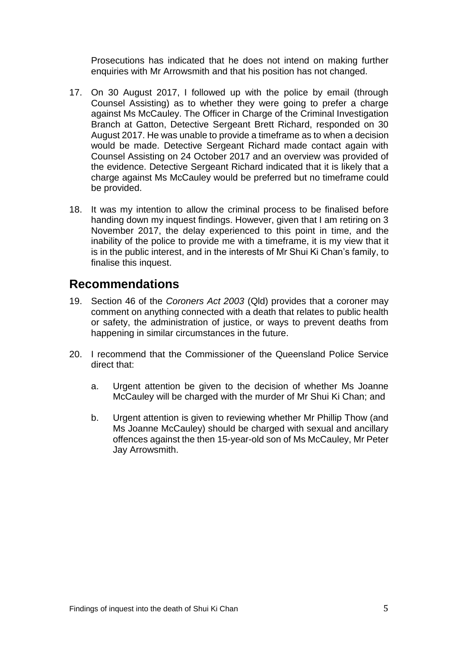Prosecutions has indicated that he does not intend on making further enquiries with Mr Arrowsmith and that his position has not changed.

- 17. On 30 August 2017, I followed up with the police by email (through Counsel Assisting) as to whether they were going to prefer a charge against Ms McCauley. The Officer in Charge of the Criminal Investigation Branch at Gatton, Detective Sergeant Brett Richard, responded on 30 August 2017. He was unable to provide a timeframe as to when a decision would be made. Detective Sergeant Richard made contact again with Counsel Assisting on 24 October 2017 and an overview was provided of the evidence. Detective Sergeant Richard indicated that it is likely that a charge against Ms McCauley would be preferred but no timeframe could be provided.
- 18. It was my intention to allow the criminal process to be finalised before handing down my inquest findings. However, given that I am retiring on 3 November 2017, the delay experienced to this point in time, and the inability of the police to provide me with a timeframe, it is my view that it is in the public interest, and in the interests of Mr Shui Ki Chan's family, to finalise this inquest.

# **Recommendations**

- 19. Section 46 of the *Coroners Act 2003* (Qld) provides that a coroner may comment on anything connected with a death that relates to public health or safety, the administration of justice, or ways to prevent deaths from happening in similar circumstances in the future.
- 20. I recommend that the Commissioner of the Queensland Police Service direct that:
	- a. Urgent attention be given to the decision of whether Ms Joanne McCauley will be charged with the murder of Mr Shui Ki Chan; and
	- b. Urgent attention is given to reviewing whether Mr Phillip Thow (and Ms Joanne McCauley) should be charged with sexual and ancillary offences against the then 15-year-old son of Ms McCauley, Mr Peter Jay Arrowsmith.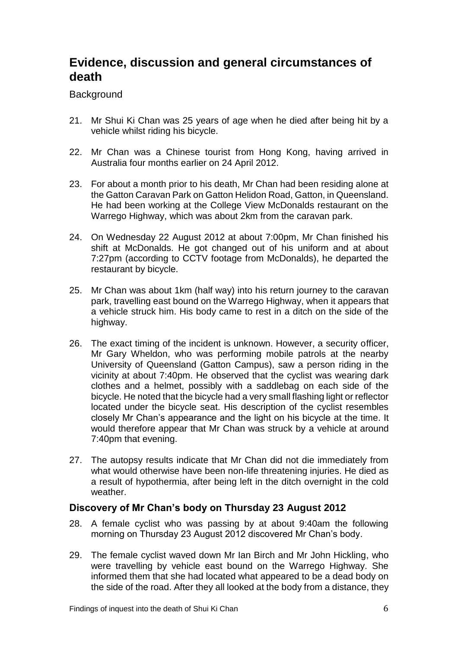# **Evidence, discussion and general circumstances of death**

### **Background**

- 21. Mr Shui Ki Chan was 25 years of age when he died after being hit by a vehicle whilst riding his bicycle.
- 22. Mr Chan was a Chinese tourist from Hong Kong, having arrived in Australia four months earlier on 24 April 2012.
- 23. For about a month prior to his death, Mr Chan had been residing alone at the Gatton Caravan Park on Gatton Helidon Road, Gatton, in Queensland. He had been working at the College View McDonalds restaurant on the Warrego Highway, which was about 2km from the caravan park.
- 24. On Wednesday 22 August 2012 at about 7:00pm, Mr Chan finished his shift at McDonalds. He got changed out of his uniform and at about 7:27pm (according to CCTV footage from McDonalds), he departed the restaurant by bicycle.
- 25. Mr Chan was about 1km (half way) into his return journey to the caravan park, travelling east bound on the Warrego Highway, when it appears that a vehicle struck him. His body came to rest in a ditch on the side of the highway.
- 26. The exact timing of the incident is unknown. However, a security officer, Mr Gary Wheldon, who was performing mobile patrols at the nearby University of Queensland (Gatton Campus), saw a person riding in the vicinity at about 7:40pm. He observed that the cyclist was wearing dark clothes and a helmet, possibly with a saddlebag on each side of the bicycle. He noted that the bicycle had a very small flashing light or reflector located under the bicycle seat. His description of the cyclist resembles closely Mr Chan's appearance and the light on his bicycle at the time. It would therefore appear that Mr Chan was struck by a vehicle at around 7:40pm that evening.
- 27. The autopsy results indicate that Mr Chan did not die immediately from what would otherwise have been non-life threatening injuries. He died as a result of hypothermia, after being left in the ditch overnight in the cold weather.

### **Discovery of Mr Chan's body on Thursday 23 August 2012**

- 28. A female cyclist who was passing by at about 9:40am the following morning on Thursday 23 August 2012 discovered Mr Chan's body.
- 29. The female cyclist waved down Mr Ian Birch and Mr John Hickling, who were travelling by vehicle east bound on the Warrego Highway. She informed them that she had located what appeared to be a dead body on the side of the road. After they all looked at the body from a distance, they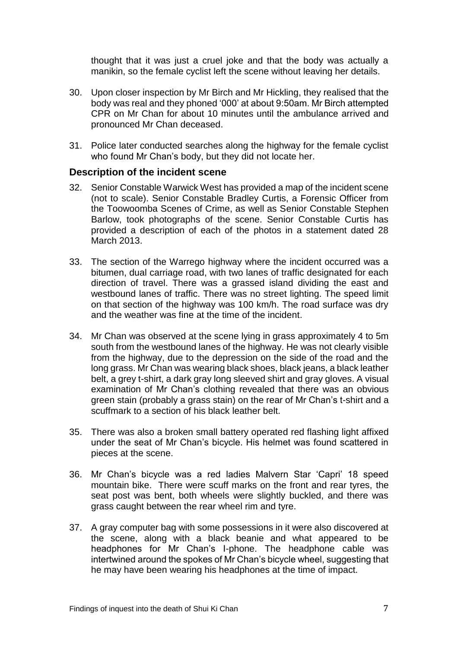thought that it was just a cruel joke and that the body was actually a manikin, so the female cyclist left the scene without leaving her details.

- 30. Upon closer inspection by Mr Birch and Mr Hickling, they realised that the body was real and they phoned '000' at about 9:50am. Mr Birch attempted CPR on Mr Chan for about 10 minutes until the ambulance arrived and pronounced Mr Chan deceased.
- 31. Police later conducted searches along the highway for the female cyclist who found Mr Chan's body, but they did not locate her.

#### **Description of the incident scene**

- 32. Senior Constable Warwick West has provided a map of the incident scene (not to scale). Senior Constable Bradley Curtis, a Forensic Officer from the Toowoomba Scenes of Crime, as well as Senior Constable Stephen Barlow, took photographs of the scene. Senior Constable Curtis has provided a description of each of the photos in a statement dated 28 March 2013.
- 33. The section of the Warrego highway where the incident occurred was a bitumen, dual carriage road, with two lanes of traffic designated for each direction of travel. There was a grassed island dividing the east and westbound lanes of traffic. There was no street lighting. The speed limit on that section of the highway was 100 km/h. The road surface was dry and the weather was fine at the time of the incident.
- 34. Mr Chan was observed at the scene lying in grass approximately 4 to 5m south from the westbound lanes of the highway. He was not clearly visible from the highway, due to the depression on the side of the road and the long grass. Mr Chan was wearing black shoes, black jeans, a black leather belt, a grey t-shirt, a dark gray long sleeved shirt and gray gloves. A visual examination of Mr Chan's clothing revealed that there was an obvious green stain (probably a grass stain) on the rear of Mr Chan's t-shirt and a scuffmark to a section of his black leather belt.
- 35. There was also a broken small battery operated red flashing light affixed under the seat of Mr Chan's bicycle. His helmet was found scattered in pieces at the scene.
- 36. Mr Chan's bicycle was a red ladies Malvern Star 'Capri' 18 speed mountain bike. There were scuff marks on the front and rear tyres, the seat post was bent, both wheels were slightly buckled, and there was grass caught between the rear wheel rim and tyre.
- 37. A gray computer bag with some possessions in it were also discovered at the scene, along with a black beanie and what appeared to be headphones for Mr Chan's I-phone. The headphone cable was intertwined around the spokes of Mr Chan's bicycle wheel, suggesting that he may have been wearing his headphones at the time of impact.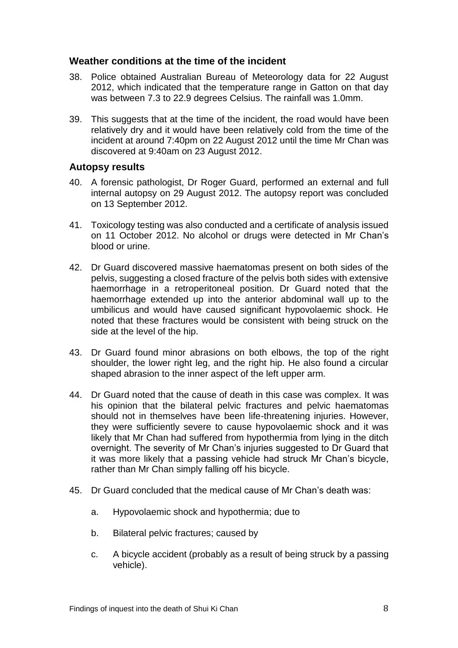### **Weather conditions at the time of the incident**

- 38. Police obtained Australian Bureau of Meteorology data for 22 August 2012, which indicated that the temperature range in Gatton on that day was between 7.3 to 22.9 degrees Celsius. The rainfall was 1.0mm.
- 39. This suggests that at the time of the incident, the road would have been relatively dry and it would have been relatively cold from the time of the incident at around 7:40pm on 22 August 2012 until the time Mr Chan was discovered at 9:40am on 23 August 2012.

#### **Autopsy results**

- 40. A forensic pathologist, Dr Roger Guard, performed an external and full internal autopsy on 29 August 2012. The autopsy report was concluded on 13 September 2012.
- 41. Toxicology testing was also conducted and a certificate of analysis issued on 11 October 2012. No alcohol or drugs were detected in Mr Chan's blood or urine.
- 42. Dr Guard discovered massive haematomas present on both sides of the pelvis, suggesting a closed fracture of the pelvis both sides with extensive haemorrhage in a retroperitoneal position. Dr Guard noted that the haemorrhage extended up into the anterior abdominal wall up to the umbilicus and would have caused significant hypovolaemic shock. He noted that these fractures would be consistent with being struck on the side at the level of the hip.
- 43. Dr Guard found minor abrasions on both elbows, the top of the right shoulder, the lower right leg, and the right hip. He also found a circular shaped abrasion to the inner aspect of the left upper arm.
- 44. Dr Guard noted that the cause of death in this case was complex. It was his opinion that the bilateral pelvic fractures and pelvic haematomas should not in themselves have been life-threatening injuries. However, they were sufficiently severe to cause hypovolaemic shock and it was likely that Mr Chan had suffered from hypothermia from lying in the ditch overnight. The severity of Mr Chan's injuries suggested to Dr Guard that it was more likely that a passing vehicle had struck Mr Chan's bicycle, rather than Mr Chan simply falling off his bicycle.
- 45. Dr Guard concluded that the medical cause of Mr Chan's death was:
	- a. Hypovolaemic shock and hypothermia; due to
	- b. Bilateral pelvic fractures; caused by
	- c. A bicycle accident (probably as a result of being struck by a passing vehicle).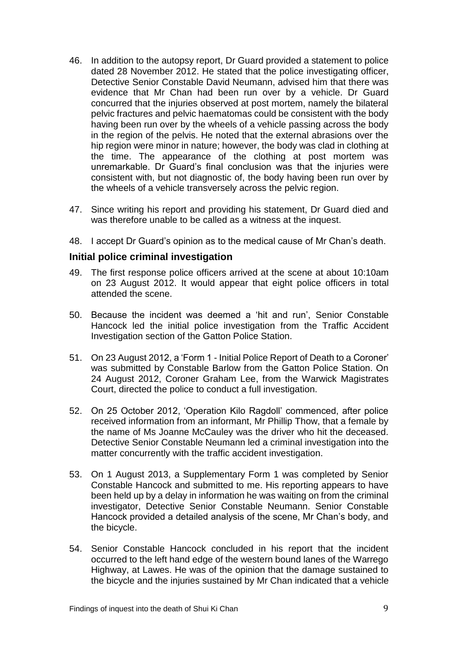- 46. In addition to the autopsy report, Dr Guard provided a statement to police dated 28 November 2012. He stated that the police investigating officer, Detective Senior Constable David Neumann, advised him that there was evidence that Mr Chan had been run over by a vehicle. Dr Guard concurred that the injuries observed at post mortem, namely the bilateral pelvic fractures and pelvic haematomas could be consistent with the body having been run over by the wheels of a vehicle passing across the body in the region of the pelvis. He noted that the external abrasions over the hip region were minor in nature; however, the body was clad in clothing at the time. The appearance of the clothing at post mortem was unremarkable. Dr Guard's final conclusion was that the injuries were consistent with, but not diagnostic of, the body having been run over by the wheels of a vehicle transversely across the pelvic region.
- 47. Since writing his report and providing his statement, Dr Guard died and was therefore unable to be called as a witness at the inquest.
- 48. I accept Dr Guard's opinion as to the medical cause of Mr Chan's death.

#### **Initial police criminal investigation**

- 49. The first response police officers arrived at the scene at about 10:10am on 23 August 2012. It would appear that eight police officers in total attended the scene.
- 50. Because the incident was deemed a 'hit and run', Senior Constable Hancock led the initial police investigation from the Traffic Accident Investigation section of the Gatton Police Station.
- 51. On 23 August 2012, a 'Form 1 Initial Police Report of Death to a Coroner' was submitted by Constable Barlow from the Gatton Police Station. On 24 August 2012, Coroner Graham Lee, from the Warwick Magistrates Court, directed the police to conduct a full investigation.
- 52. On 25 October 2012, 'Operation Kilo Ragdoll' commenced, after police received information from an informant, Mr Phillip Thow, that a female by the name of Ms Joanne McCauley was the driver who hit the deceased. Detective Senior Constable Neumann led a criminal investigation into the matter concurrently with the traffic accident investigation.
- 53. On 1 August 2013, a Supplementary Form 1 was completed by Senior Constable Hancock and submitted to me. His reporting appears to have been held up by a delay in information he was waiting on from the criminal investigator, Detective Senior Constable Neumann. Senior Constable Hancock provided a detailed analysis of the scene, Mr Chan's body, and the bicycle.
- 54. Senior Constable Hancock concluded in his report that the incident occurred to the left hand edge of the western bound lanes of the Warrego Highway, at Lawes. He was of the opinion that the damage sustained to the bicycle and the injuries sustained by Mr Chan indicated that a vehicle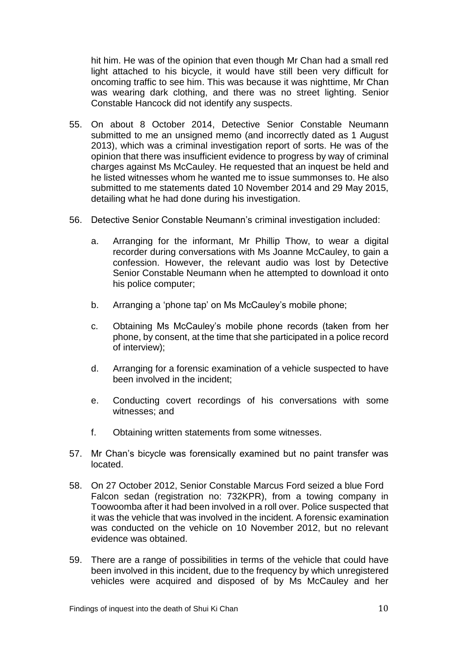hit him. He was of the opinion that even though Mr Chan had a small red light attached to his bicycle, it would have still been very difficult for oncoming traffic to see him. This was because it was nighttime, Mr Chan was wearing dark clothing, and there was no street lighting. Senior Constable Hancock did not identify any suspects.

- 55. On about 8 October 2014, Detective Senior Constable Neumann submitted to me an unsigned memo (and incorrectly dated as 1 August 2013), which was a criminal investigation report of sorts. He was of the opinion that there was insufficient evidence to progress by way of criminal charges against Ms McCauley. He requested that an inquest be held and he listed witnesses whom he wanted me to issue summonses to. He also submitted to me statements dated 10 November 2014 and 29 May 2015, detailing what he had done during his investigation.
- 56. Detective Senior Constable Neumann's criminal investigation included:
	- a. Arranging for the informant, Mr Phillip Thow, to wear a digital recorder during conversations with Ms Joanne McCauley, to gain a confession. However, the relevant audio was lost by Detective Senior Constable Neumann when he attempted to download it onto his police computer;
	- b. Arranging a 'phone tap' on Ms McCauley's mobile phone;
	- c. Obtaining Ms McCauley's mobile phone records (taken from her phone, by consent, at the time that she participated in a police record of interview);
	- d. Arranging for a forensic examination of a vehicle suspected to have been involved in the incident;
	- e. Conducting covert recordings of his conversations with some witnesses; and
	- f. Obtaining written statements from some witnesses.
- 57. Mr Chan's bicycle was forensically examined but no paint transfer was located.
- 58. On 27 October 2012, Senior Constable Marcus Ford seized a blue Ford Falcon sedan (registration no: 732KPR), from a towing company in Toowoomba after it had been involved in a roll over. Police suspected that it was the vehicle that was involved in the incident. A forensic examination was conducted on the vehicle on 10 November 2012, but no relevant evidence was obtained.
- 59. There are a range of possibilities in terms of the vehicle that could have been involved in this incident, due to the frequency by which unregistered vehicles were acquired and disposed of by Ms McCauley and her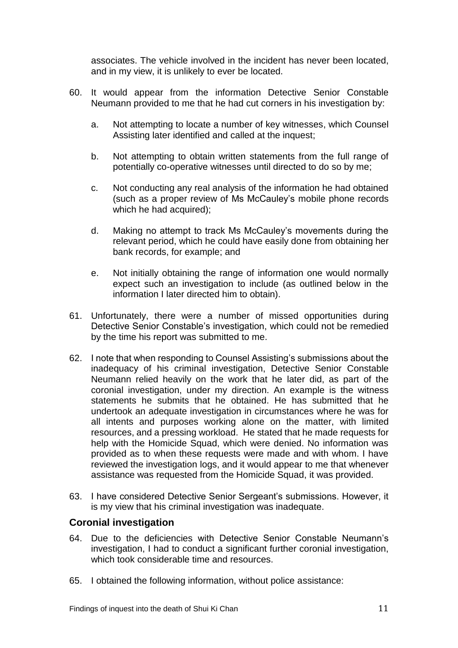associates. The vehicle involved in the incident has never been located, and in my view, it is unlikely to ever be located.

- 60. It would appear from the information Detective Senior Constable Neumann provided to me that he had cut corners in his investigation by:
	- a. Not attempting to locate a number of key witnesses, which Counsel Assisting later identified and called at the inquest;
	- b. Not attempting to obtain written statements from the full range of potentially co-operative witnesses until directed to do so by me;
	- c. Not conducting any real analysis of the information he had obtained (such as a proper review of Ms McCauley's mobile phone records which he had acquired);
	- d. Making no attempt to track Ms McCauley's movements during the relevant period, which he could have easily done from obtaining her bank records, for example; and
	- e. Not initially obtaining the range of information one would normally expect such an investigation to include (as outlined below in the information I later directed him to obtain).
- 61. Unfortunately, there were a number of missed opportunities during Detective Senior Constable's investigation, which could not be remedied by the time his report was submitted to me.
- 62. I note that when responding to Counsel Assisting's submissions about the inadequacy of his criminal investigation, Detective Senior Constable Neumann relied heavily on the work that he later did, as part of the coronial investigation, under my direction. An example is the witness statements he submits that he obtained. He has submitted that he undertook an adequate investigation in circumstances where he was for all intents and purposes working alone on the matter, with limited resources, and a pressing workload. He stated that he made requests for help with the Homicide Squad, which were denied. No information was provided as to when these requests were made and with whom. I have reviewed the investigation logs, and it would appear to me that whenever assistance was requested from the Homicide Squad, it was provided.
- 63. I have considered Detective Senior Sergeant's submissions. However, it is my view that his criminal investigation was inadequate.

### **Coronial investigation**

- 64. Due to the deficiencies with Detective Senior Constable Neumann's investigation, I had to conduct a significant further coronial investigation, which took considerable time and resources.
- 65. I obtained the following information, without police assistance: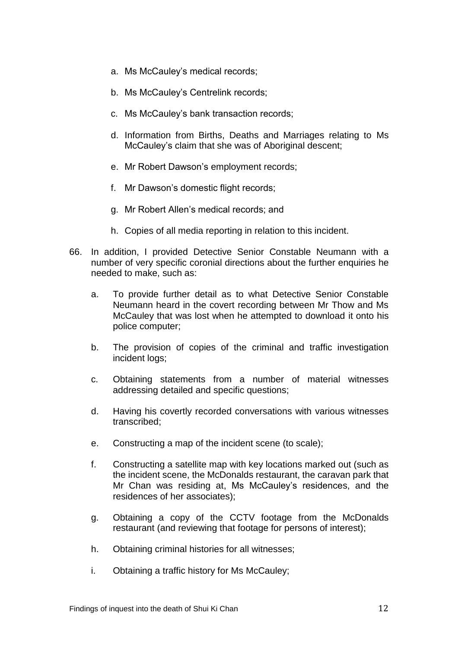- a. Ms McCauley's medical records;
- b. Ms McCauley's Centrelink records;
- c. Ms McCauley's bank transaction records;
- d. Information from Births, Deaths and Marriages relating to Ms McCauley's claim that she was of Aboriginal descent;
- e. Mr Robert Dawson's employment records;
- f. Mr Dawson's domestic flight records;
- g. Mr Robert Allen's medical records; and
- h. Copies of all media reporting in relation to this incident.
- 66. In addition, I provided Detective Senior Constable Neumann with a number of very specific coronial directions about the further enquiries he needed to make, such as:
	- a. To provide further detail as to what Detective Senior Constable Neumann heard in the covert recording between Mr Thow and Ms McCauley that was lost when he attempted to download it onto his police computer;
	- b. The provision of copies of the criminal and traffic investigation incident logs;
	- c. Obtaining statements from a number of material witnesses addressing detailed and specific questions;
	- d. Having his covertly recorded conversations with various witnesses transcribed;
	- e. Constructing a map of the incident scene (to scale);
	- f. Constructing a satellite map with key locations marked out (such as the incident scene, the McDonalds restaurant, the caravan park that Mr Chan was residing at, Ms McCauley's residences, and the residences of her associates);
	- g. Obtaining a copy of the CCTV footage from the McDonalds restaurant (and reviewing that footage for persons of interest);
	- h. Obtaining criminal histories for all witnesses;
	- i. Obtaining a traffic history for Ms McCauley;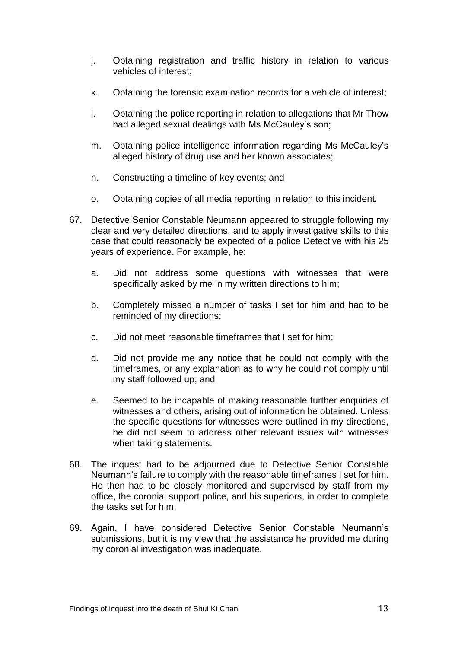- j. Obtaining registration and traffic history in relation to various vehicles of interest;
- k. Obtaining the forensic examination records for a vehicle of interest;
- l. Obtaining the police reporting in relation to allegations that Mr Thow had alleged sexual dealings with Ms McCauley's son;
- m. Obtaining police intelligence information regarding Ms McCauley's alleged history of drug use and her known associates;
- n. Constructing a timeline of key events; and
- o. Obtaining copies of all media reporting in relation to this incident.
- 67. Detective Senior Constable Neumann appeared to struggle following my clear and very detailed directions, and to apply investigative skills to this case that could reasonably be expected of a police Detective with his 25 years of experience. For example, he:
	- a. Did not address some questions with witnesses that were specifically asked by me in my written directions to him;
	- b. Completely missed a number of tasks I set for him and had to be reminded of my directions;
	- c. Did not meet reasonable timeframes that I set for him;
	- d. Did not provide me any notice that he could not comply with the timeframes, or any explanation as to why he could not comply until my staff followed up; and
	- e. Seemed to be incapable of making reasonable further enquiries of witnesses and others, arising out of information he obtained. Unless the specific questions for witnesses were outlined in my directions, he did not seem to address other relevant issues with witnesses when taking statements.
- 68. The inquest had to be adjourned due to Detective Senior Constable Neumann's failure to comply with the reasonable timeframes I set for him. He then had to be closely monitored and supervised by staff from my office, the coronial support police, and his superiors, in order to complete the tasks set for him.
- 69. Again, I have considered Detective Senior Constable Neumann's submissions, but it is my view that the assistance he provided me during my coronial investigation was inadequate.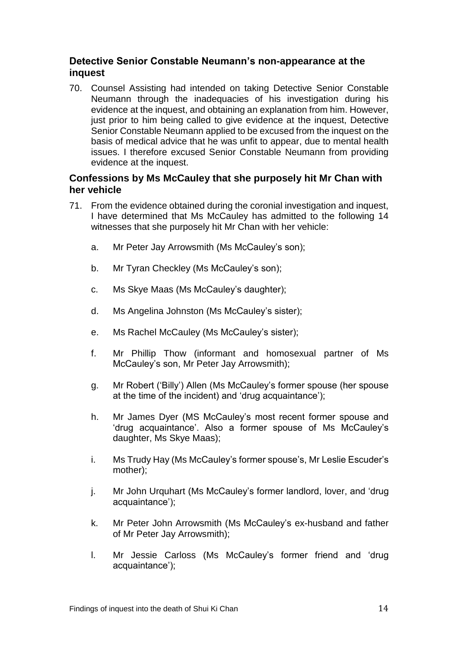### **Detective Senior Constable Neumann's non-appearance at the inquest**

70. Counsel Assisting had intended on taking Detective Senior Constable Neumann through the inadequacies of his investigation during his evidence at the inquest, and obtaining an explanation from him. However, just prior to him being called to give evidence at the inquest, Detective Senior Constable Neumann applied to be excused from the inquest on the basis of medical advice that he was unfit to appear, due to mental health issues. I therefore excused Senior Constable Neumann from providing evidence at the inquest.

### **Confessions by Ms McCauley that she purposely hit Mr Chan with her vehicle**

- 71. From the evidence obtained during the coronial investigation and inquest, I have determined that Ms McCauley has admitted to the following 14 witnesses that she purposely hit Mr Chan with her vehicle:
	- a. Mr Peter Jay Arrowsmith (Ms McCauley's son);
	- b. Mr Tyran Checkley (Ms McCauley's son);
	- c. Ms Skye Maas (Ms McCauley's daughter);
	- d. Ms Angelina Johnston (Ms McCauley's sister);
	- e. Ms Rachel McCauley (Ms McCauley's sister);
	- f. Mr Phillip Thow (informant and homosexual partner of Ms McCauley's son, Mr Peter Jay Arrowsmith);
	- g. Mr Robert ('Billy') Allen (Ms McCauley's former spouse (her spouse at the time of the incident) and 'drug acquaintance');
	- h. Mr James Dyer (MS McCauley's most recent former spouse and 'drug acquaintance'. Also a former spouse of Ms McCauley's daughter, Ms Skye Maas);
	- i. Ms Trudy Hay (Ms McCauley's former spouse's, Mr Leslie Escuder's mother);
	- j. Mr John Urquhart (Ms McCauley's former landlord, lover, and 'drug acquaintance');
	- k. Mr Peter John Arrowsmith (Ms McCauley's ex-husband and father of Mr Peter Jay Arrowsmith);
	- l. Mr Jessie Carloss (Ms McCauley's former friend and 'drug acquaintance');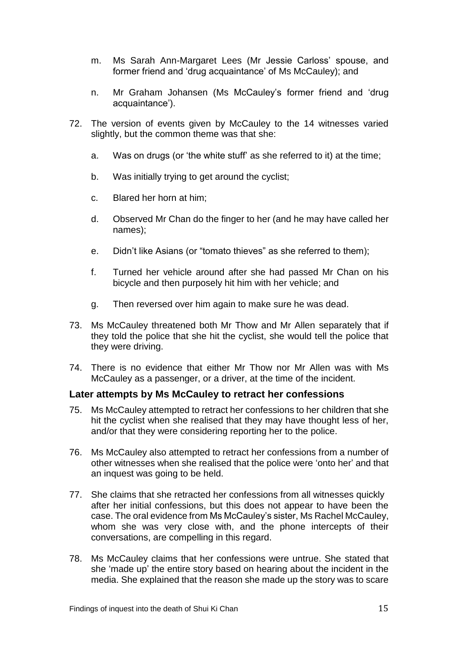- m. Ms Sarah Ann-Margaret Lees (Mr Jessie Carloss' spouse, and former friend and 'drug acquaintance' of Ms McCauley); and
- n. Mr Graham Johansen (Ms McCauley's former friend and 'drug acquaintance').
- 72. The version of events given by McCauley to the 14 witnesses varied slightly, but the common theme was that she:
	- a. Was on drugs (or 'the white stuff' as she referred to it) at the time;
	- b. Was initially trying to get around the cyclist;
	- c. Blared her horn at him;
	- d. Observed Mr Chan do the finger to her (and he may have called her names);
	- e. Didn't like Asians (or "tomato thieves" as she referred to them);
	- f. Turned her vehicle around after she had passed Mr Chan on his bicycle and then purposely hit him with her vehicle; and
	- g. Then reversed over him again to make sure he was dead.
- 73. Ms McCauley threatened both Mr Thow and Mr Allen separately that if they told the police that she hit the cyclist, she would tell the police that they were driving.
- 74. There is no evidence that either Mr Thow nor Mr Allen was with Ms McCauley as a passenger, or a driver, at the time of the incident.

#### **Later attempts by Ms McCauley to retract her confessions**

- 75. Ms McCauley attempted to retract her confessions to her children that she hit the cyclist when she realised that they may have thought less of her, and/or that they were considering reporting her to the police.
- 76. Ms McCauley also attempted to retract her confessions from a number of other witnesses when she realised that the police were 'onto her' and that an inquest was going to be held.
- 77. She claims that she retracted her confessions from all witnesses quickly after her initial confessions, but this does not appear to have been the case. The oral evidence from Ms McCauley's sister, Ms Rachel McCauley, whom she was very close with, and the phone intercepts of their conversations, are compelling in this regard.
- 78. Ms McCauley claims that her confessions were untrue. She stated that she 'made up' the entire story based on hearing about the incident in the media. She explained that the reason she made up the story was to scare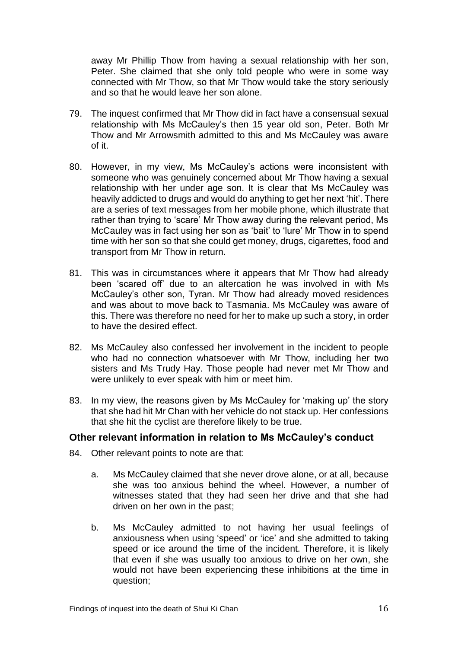away Mr Phillip Thow from having a sexual relationship with her son, Peter. She claimed that she only told people who were in some way connected with Mr Thow, so that Mr Thow would take the story seriously and so that he would leave her son alone.

- 79. The inquest confirmed that Mr Thow did in fact have a consensual sexual relationship with Ms McCauley's then 15 year old son, Peter. Both Mr Thow and Mr Arrowsmith admitted to this and Ms McCauley was aware of it.
- 80. However, in my view, Ms McCauley's actions were inconsistent with someone who was genuinely concerned about Mr Thow having a sexual relationship with her under age son. It is clear that Ms McCauley was heavily addicted to drugs and would do anything to get her next 'hit'. There are a series of text messages from her mobile phone, which illustrate that rather than trying to 'scare' Mr Thow away during the relevant period, Ms McCauley was in fact using her son as 'bait' to 'lure' Mr Thow in to spend time with her son so that she could get money, drugs, cigarettes, food and transport from Mr Thow in return.
- 81. This was in circumstances where it appears that Mr Thow had already been 'scared off' due to an altercation he was involved in with Ms McCauley's other son, Tyran. Mr Thow had already moved residences and was about to move back to Tasmania. Ms McCauley was aware of this. There was therefore no need for her to make up such a story, in order to have the desired effect.
- 82. Ms McCauley also confessed her involvement in the incident to people who had no connection whatsoever with Mr Thow, including her two sisters and Ms Trudy Hay. Those people had never met Mr Thow and were unlikely to ever speak with him or meet him.
- 83. In my view, the reasons given by Ms McCauley for 'making up' the story that she had hit Mr Chan with her vehicle do not stack up. Her confessions that she hit the cyclist are therefore likely to be true.

#### **Other relevant information in relation to Ms McCauley's conduct**

- 84. Other relevant points to note are that:
	- a. Ms McCauley claimed that she never drove alone, or at all, because she was too anxious behind the wheel. However, a number of witnesses stated that they had seen her drive and that she had driven on her own in the past;
	- b. Ms McCauley admitted to not having her usual feelings of anxiousness when using 'speed' or 'ice' and she admitted to taking speed or ice around the time of the incident. Therefore, it is likely that even if she was usually too anxious to drive on her own, she would not have been experiencing these inhibitions at the time in question;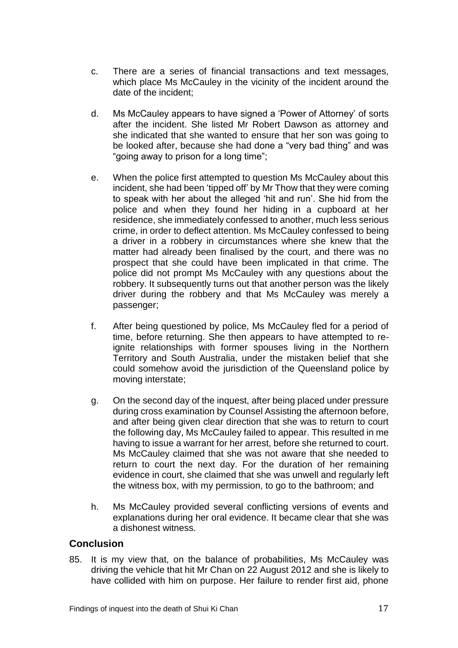- c. There are a series of financial transactions and text messages, which place Ms McCauley in the vicinity of the incident around the date of the incident;
- d. Ms McCauley appears to have signed a 'Power of Attorney' of sorts after the incident. She listed Mr Robert Dawson as attorney and she indicated that she wanted to ensure that her son was going to be looked after, because she had done a "very bad thing" and was "going away to prison for a long time";
- e. When the police first attempted to question Ms McCauley about this incident, she had been 'tipped off' by Mr Thow that they were coming to speak with her about the alleged 'hit and run'. She hid from the police and when they found her hiding in a cupboard at her residence, she immediately confessed to another, much less serious crime, in order to deflect attention. Ms McCauley confessed to being a driver in a robbery in circumstances where she knew that the matter had already been finalised by the court, and there was no prospect that she could have been implicated in that crime. The police did not prompt Ms McCauley with any questions about the robbery. It subsequently turns out that another person was the likely driver during the robbery and that Ms McCauley was merely a passenger;
- f. After being questioned by police, Ms McCauley fled for a period of time, before returning. She then appears to have attempted to reignite relationships with former spouses living in the Northern Territory and South Australia, under the mistaken belief that she could somehow avoid the jurisdiction of the Queensland police by moving interstate;
- g. On the second day of the inquest, after being placed under pressure during cross examination by Counsel Assisting the afternoon before, and after being given clear direction that she was to return to court the following day, Ms McCauley failed to appear. This resulted in me having to issue a warrant for her arrest, before she returned to court. Ms McCauley claimed that she was not aware that she needed to return to court the next day. For the duration of her remaining evidence in court, she claimed that she was unwell and regularly left the witness box, with my permission, to go to the bathroom; and
- h. Ms McCauley provided several conflicting versions of events and explanations during her oral evidence. It became clear that she was a dishonest witness.

#### **Conclusion**

85. It is my view that, on the balance of probabilities, Ms McCauley was driving the vehicle that hit Mr Chan on 22 August 2012 and she is likely to have collided with him on purpose. Her failure to render first aid, phone